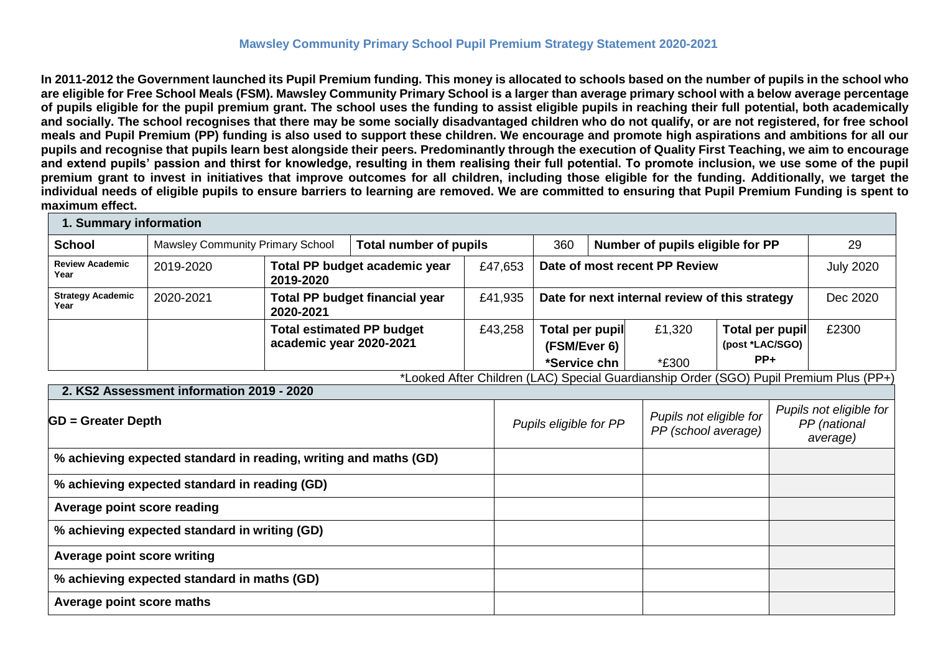### **Mawsley Community Primary School Pupil Premium Strategy Statement 2020-2021**

**In 2011-2012 the Government launched its Pupil Premium funding. This money is allocated to schools based on the number of pupils in the school who are eligible for Free School Meals (FSM). Mawsley Community Primary School is a larger than average primary school with a below average percentage of pupils eligible for the pupil premium grant. The school uses the funding to assist eligible pupils in reaching their full potential, both academically and socially. The school recognises that there may be some socially disadvantaged children who do not qualify, or are not registered, for free school meals and Pupil Premium (PP) funding is also used to support these children. We encourage and promote high aspirations and ambitions for all our pupils and recognise that pupils learn best alongside their peers. Predominantly through the execution of Quality First Teaching, we aim to encourage and extend pupils' passion and thirst for knowledge, resulting in them realising their full potential. To promote inclusion, we use some of the pupil premium grant to invest in initiatives that improve outcomes for all children, including those eligible for the funding. Additionally, we target the individual needs of eligible pupils to ensure barriers to learning are removed. We are committed to ensuring that Pupil Premium Funding is spent to maximum effect.** 

| 1. Summary information                      |                                                                  |                         |                                       |                                                                          |         |                                                |    |                                                                                        |                                    |          |                                                     |
|---------------------------------------------|------------------------------------------------------------------|-------------------------|---------------------------------------|--------------------------------------------------------------------------|---------|------------------------------------------------|----|----------------------------------------------------------------------------------------|------------------------------------|----------|-----------------------------------------------------|
| <b>School</b>                               | <b>Mawsley Community Primary School</b>                          |                         |                                       | Number of pupils eligible for PP<br><b>Total number of pupils</b><br>360 |         |                                                | 29 |                                                                                        |                                    |          |                                                     |
| <b>Review Academic</b><br>Year              | 2019-2020                                                        | 2019-2020               | Total PP budget academic year         |                                                                          | £47,653 |                                                |    | Date of most recent PP Review                                                          |                                    |          | <b>July 2020</b>                                    |
| <b>Strategy Academic</b><br>Year            | 2020-2021                                                        | 2020-2021               | <b>Total PP budget financial year</b> |                                                                          | £41,935 | Date for next internal review of this strategy |    |                                                                                        |                                    | Dec 2020 |                                                     |
|                                             |                                                                  | academic year 2020-2021 | <b>Total estimated PP budget</b>      |                                                                          | £43,258 | Total per pupil<br>(FSM/Ever 6)                |    | £1,320                                                                                 | Total per pupil<br>(post *LAC/SGO) |          | £2300                                               |
|                                             |                                                                  |                         |                                       |                                                                          |         | *Service chn                                   |    | *£300                                                                                  | $PP+$                              |          |                                                     |
|                                             | 2. KS2 Assessment information 2019 - 2020                        |                         |                                       |                                                                          |         |                                                |    | *Looked After Children (LAC) Special Guardianship Order (SGO) Pupil Premium Plus (PP+) |                                    |          |                                                     |
|                                             | $GD =$ Greater Depth                                             |                         |                                       |                                                                          |         | Pupils eligible for PP                         |    | Pupils not eligible for<br>PP (school average)                                         |                                    |          | Pupils not eligible for<br>PP (national<br>average) |
|                                             | % achieving expected standard in reading, writing and maths (GD) |                         |                                       |                                                                          |         |                                                |    |                                                                                        |                                    |          |                                                     |
|                                             | % achieving expected standard in reading (GD)                    |                         |                                       |                                                                          |         |                                                |    |                                                                                        |                                    |          |                                                     |
| Average point score reading                 |                                                                  |                         |                                       |                                                                          |         |                                                |    |                                                                                        |                                    |          |                                                     |
|                                             | % achieving expected standard in writing (GD)                    |                         |                                       |                                                                          |         |                                                |    |                                                                                        |                                    |          |                                                     |
| <b>Average point score writing</b>          |                                                                  |                         |                                       |                                                                          |         |                                                |    |                                                                                        |                                    |          |                                                     |
| % achieving expected standard in maths (GD) |                                                                  |                         |                                       |                                                                          |         |                                                |    |                                                                                        |                                    |          |                                                     |
| Average point score maths                   |                                                                  |                         |                                       |                                                                          |         |                                                |    |                                                                                        |                                    |          |                                                     |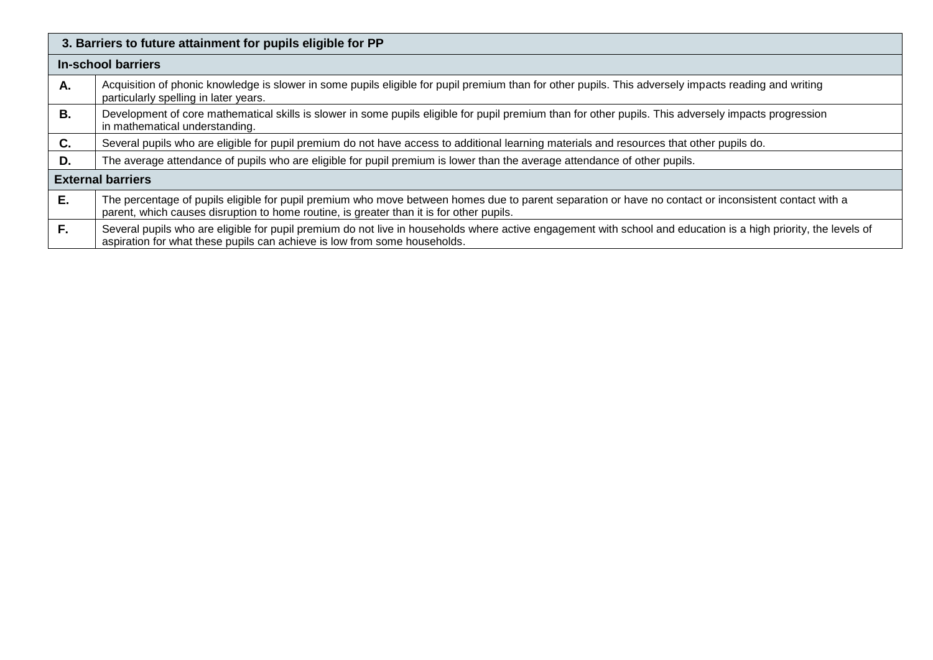|           | 3. Barriers to future attainment for pupils eligible for PP                                                                                                                                                                                       |  |  |  |  |  |
|-----------|---------------------------------------------------------------------------------------------------------------------------------------------------------------------------------------------------------------------------------------------------|--|--|--|--|--|
|           | <b>In-school barriers</b>                                                                                                                                                                                                                         |  |  |  |  |  |
| Α.        | Acquisition of phonic knowledge is slower in some pupils eligible for pupil premium than for other pupils. This adversely impacts reading and writing<br>particularly spelling in later years.                                                    |  |  |  |  |  |
| <b>B.</b> | Development of core mathematical skills is slower in some pupils eligible for pupil premium than for other pupils. This adversely impacts progression<br>in mathematical understanding.                                                           |  |  |  |  |  |
| C.        | Several pupils who are eligible for pupil premium do not have access to additional learning materials and resources that other pupils do.                                                                                                         |  |  |  |  |  |
| D.        | The average attendance of pupils who are eligible for pupil premium is lower than the average attendance of other pupils.                                                                                                                         |  |  |  |  |  |
|           | <b>External barriers</b>                                                                                                                                                                                                                          |  |  |  |  |  |
| Е.        | The percentage of pupils eligible for pupil premium who move between homes due to parent separation or have no contact or inconsistent contact with a<br>parent, which causes disruption to home routine, is greater than it is for other pupils. |  |  |  |  |  |
| F.        | Several pupils who are eligible for pupil premium do not live in households where active engagement with school and education is a high priority, the levels of<br>aspiration for what these pupils can achieve is low from some households.      |  |  |  |  |  |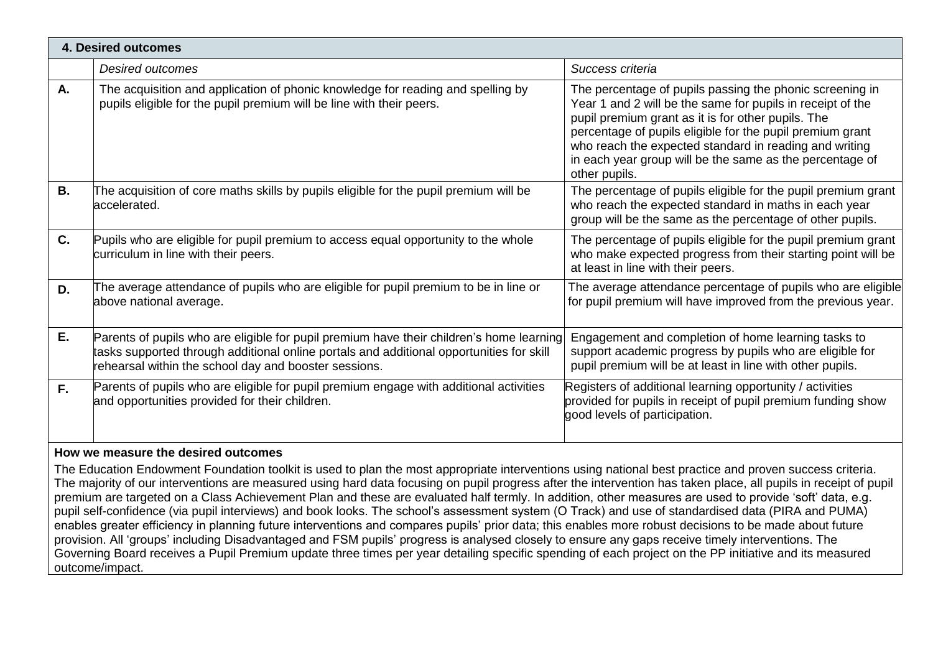|    | <b>4. Desired outcomes</b>                                                                                                                                                                                                                    |                                                                                                                                                                                                                                                                                                                                                                                  |
|----|-----------------------------------------------------------------------------------------------------------------------------------------------------------------------------------------------------------------------------------------------|----------------------------------------------------------------------------------------------------------------------------------------------------------------------------------------------------------------------------------------------------------------------------------------------------------------------------------------------------------------------------------|
|    | <b>Desired outcomes</b>                                                                                                                                                                                                                       | Success criteria                                                                                                                                                                                                                                                                                                                                                                 |
| А. | The acquisition and application of phonic knowledge for reading and spelling by<br>pupils eligible for the pupil premium will be line with their peers.                                                                                       | The percentage of pupils passing the phonic screening in<br>Year 1 and 2 will be the same for pupils in receipt of the<br>pupil premium grant as it is for other pupils. The<br>percentage of pupils eligible for the pupil premium grant<br>who reach the expected standard in reading and writing<br>in each year group will be the same as the percentage of<br>other pupils. |
| В. | The acquisition of core maths skills by pupils eligible for the pupil premium will be<br>accelerated.                                                                                                                                         | The percentage of pupils eligible for the pupil premium grant<br>who reach the expected standard in maths in each year<br>group will be the same as the percentage of other pupils.                                                                                                                                                                                              |
| C. | Pupils who are eligible for pupil premium to access equal opportunity to the whole<br>curriculum in line with their peers.                                                                                                                    | The percentage of pupils eligible for the pupil premium grant<br>who make expected progress from their starting point will be<br>at least in line with their peers.                                                                                                                                                                                                              |
| D. | The average attendance of pupils who are eligible for pupil premium to be in line or<br>above national average.                                                                                                                               | The average attendance percentage of pupils who are eligible<br>for pupil premium will have improved from the previous year.                                                                                                                                                                                                                                                     |
| E. | Parents of pupils who are eligible for pupil premium have their children's home learning<br>tasks supported through additional online portals and additional opportunities for skill<br>rehearsal within the school day and booster sessions. | Engagement and completion of home learning tasks to<br>support academic progress by pupils who are eligible for<br>pupil premium will be at least in line with other pupils.                                                                                                                                                                                                     |
| F. | Parents of pupils who are eligible for pupil premium engage with additional activities<br>and opportunities provided for their children.                                                                                                      | Registers of additional learning opportunity / activities<br>provided for pupils in receipt of pupil premium funding show<br>good levels of participation.                                                                                                                                                                                                                       |
|    |                                                                                                                                                                                                                                               |                                                                                                                                                                                                                                                                                                                                                                                  |

#### **How we measure the desired outcomes**

The Education Endowment Foundation toolkit is used to plan the most appropriate interventions using national best practice and proven success criteria. The majority of our interventions are measured using hard data focusing on pupil progress after the intervention has taken place, all pupils in receipt of pupil premium are targeted on a Class Achievement Plan and these are evaluated half termly. In addition, other measures are used to provide 'soft' data, e.g. pupil self-confidence (via pupil interviews) and book looks. The school's assessment system (O Track) and use of standardised data (PIRA and PUMA) enables greater efficiency in planning future interventions and compares pupils' prior data; this enables more robust decisions to be made about future provision. All 'groups' including Disadvantaged and FSM pupils' progress is analysed closely to ensure any gaps receive timely interventions. The Governing Board receives a Pupil Premium update three times per year detailing specific spending of each project on the PP initiative and its measured outcome/impact.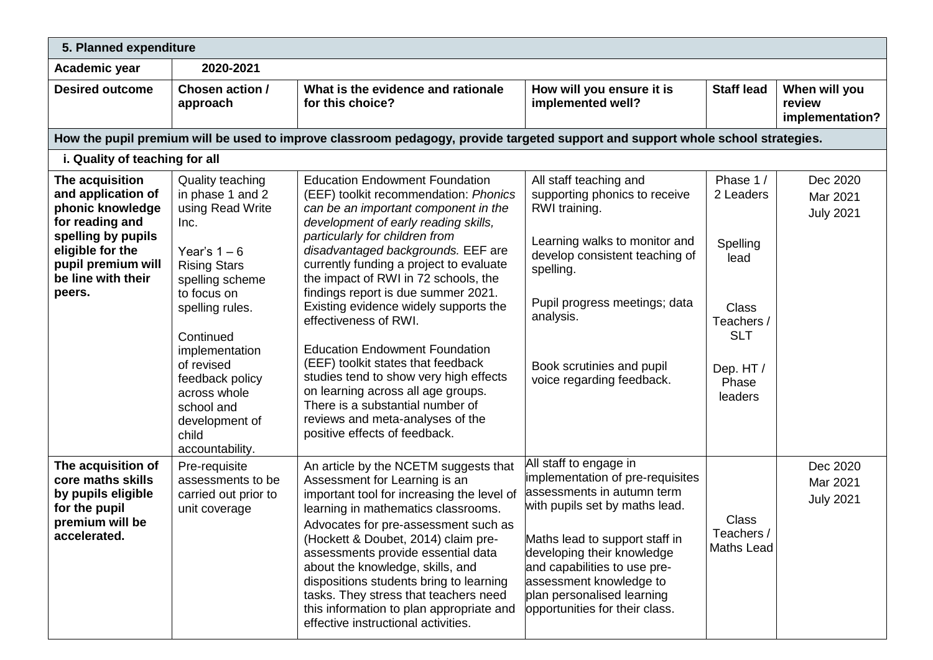| 5. Planned expenditure                                                                                                                                                       |                                                                                                                                                                                                                                                                                                                 |                                                                                                                                                                                                                                                                                                                                                                                                                                                                                                                                                                                                                                                                                                            |                                                                                                                                                                                                                                                                                                                       |                                                                                                                       |                                            |  |
|------------------------------------------------------------------------------------------------------------------------------------------------------------------------------|-----------------------------------------------------------------------------------------------------------------------------------------------------------------------------------------------------------------------------------------------------------------------------------------------------------------|------------------------------------------------------------------------------------------------------------------------------------------------------------------------------------------------------------------------------------------------------------------------------------------------------------------------------------------------------------------------------------------------------------------------------------------------------------------------------------------------------------------------------------------------------------------------------------------------------------------------------------------------------------------------------------------------------------|-----------------------------------------------------------------------------------------------------------------------------------------------------------------------------------------------------------------------------------------------------------------------------------------------------------------------|-----------------------------------------------------------------------------------------------------------------------|--------------------------------------------|--|
| Academic year                                                                                                                                                                | 2020-2021                                                                                                                                                                                                                                                                                                       |                                                                                                                                                                                                                                                                                                                                                                                                                                                                                                                                                                                                                                                                                                            |                                                                                                                                                                                                                                                                                                                       |                                                                                                                       |                                            |  |
| <b>Desired outcome</b>                                                                                                                                                       | Chosen action /<br>approach                                                                                                                                                                                                                                                                                     | What is the evidence and rationale<br>for this choice?                                                                                                                                                                                                                                                                                                                                                                                                                                                                                                                                                                                                                                                     | How will you ensure it is<br>implemented well?                                                                                                                                                                                                                                                                        | <b>Staff lead</b>                                                                                                     | When will you<br>review<br>implementation? |  |
|                                                                                                                                                                              |                                                                                                                                                                                                                                                                                                                 | How the pupil premium will be used to improve classroom pedagogy, provide targeted support and support whole school strategies.                                                                                                                                                                                                                                                                                                                                                                                                                                                                                                                                                                            |                                                                                                                                                                                                                                                                                                                       |                                                                                                                       |                                            |  |
| i. Quality of teaching for all                                                                                                                                               |                                                                                                                                                                                                                                                                                                                 |                                                                                                                                                                                                                                                                                                                                                                                                                                                                                                                                                                                                                                                                                                            |                                                                                                                                                                                                                                                                                                                       |                                                                                                                       |                                            |  |
| The acquisition<br>and application of<br>phonic knowledge<br>for reading and<br>spelling by pupils<br>eligible for the<br>pupil premium will<br>be line with their<br>peers. | <b>Quality teaching</b><br>in phase 1 and 2<br>using Read Write<br>Inc.<br>Year's $1-6$<br><b>Rising Stars</b><br>spelling scheme<br>to focus on<br>spelling rules.<br>Continued<br>implementation<br>of revised<br>feedback policy<br>across whole<br>school and<br>development of<br>child<br>accountability. | <b>Education Endowment Foundation</b><br>(EEF) toolkit recommendation: Phonics<br>can be an important component in the<br>development of early reading skills,<br>particularly for children from<br>disadvantaged backgrounds. EEF are<br>currently funding a project to evaluate<br>the impact of RWI in 72 schools, the<br>findings report is due summer 2021.<br>Existing evidence widely supports the<br>effectiveness of RWI.<br><b>Education Endowment Foundation</b><br>(EEF) toolkit states that feedback<br>studies tend to show very high effects<br>on learning across all age groups.<br>There is a substantial number of<br>reviews and meta-analyses of the<br>positive effects of feedback. | All staff teaching and<br>supporting phonics to receive<br>RWI training.<br>Learning walks to monitor and<br>develop consistent teaching of<br>spelling.<br>Pupil progress meetings; data<br>analysis.<br>Book scrutinies and pupil<br>voice regarding feedback.                                                      | Phase 1/<br>2 Leaders<br>Spelling<br>lead<br><b>Class</b><br>Teachers /<br><b>SLT</b><br>Dep. HT/<br>Phase<br>leaders | Dec 2020<br>Mar 2021<br><b>July 2021</b>   |  |
| The acquisition of<br>core maths skills<br>by pupils eligible<br>for the pupil<br>premium will be<br>accelerated.                                                            | Pre-requisite<br>assessments to be<br>carried out prior to<br>unit coverage                                                                                                                                                                                                                                     | An article by the NCETM suggests that<br>Assessment for Learning is an<br>important tool for increasing the level of<br>learning in mathematics classrooms.<br>Advocates for pre-assessment such as<br>(Hockett & Doubet, 2014) claim pre-<br>assessments provide essential data<br>about the knowledge, skills, and<br>dispositions students bring to learning<br>tasks. They stress that teachers need<br>this information to plan appropriate and<br>effective instructional activities.                                                                                                                                                                                                                | All staff to engage in<br>implementation of pre-requisites<br>assessments in autumn term<br>with pupils set by maths lead.<br>Maths lead to support staff in<br>developing their knowledge<br>and capabilities to use pre-<br>assessment knowledge to<br>plan personalised learning<br>opportunities for their class. | Class<br>Teachers /<br>Maths Lead                                                                                     | Dec 2020<br>Mar 2021<br><b>July 2021</b>   |  |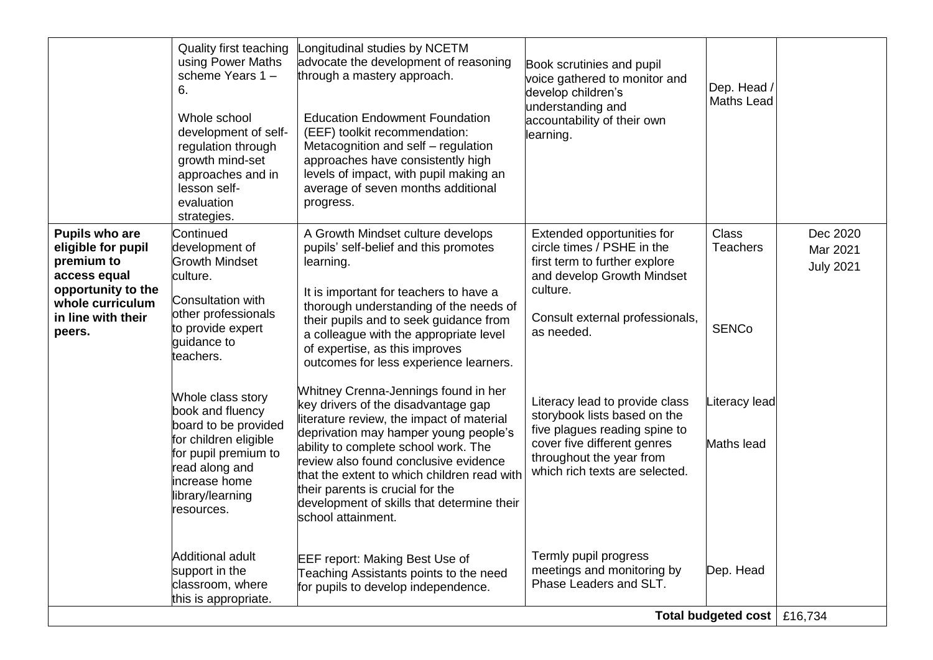|                                                                                                                                              | <b>Quality first teaching</b><br>using Power Maths<br>scheme Years 1-<br>6.<br>Whole school<br>development of self-<br>regulation through<br>growth mind-set<br>approaches and in<br>lesson self-<br>evaluation<br>strategies. | Longitudinal studies by NCETM<br>advocate the development of reasoning<br>through a mastery approach.<br><b>Education Endowment Foundation</b><br>(EEF) toolkit recommendation:<br>Metacognition and self - regulation<br>approaches have consistently high<br>levels of impact, with pupil making an<br>average of seven months additional<br>progress.                                                  | Book scrutinies and pupil<br>voice gathered to monitor and<br>develop children's<br>understanding and<br>accountability of their own<br>learning.                                            | Dep. Head /<br><b>Maths Lead</b>                |                                          |
|----------------------------------------------------------------------------------------------------------------------------------------------|--------------------------------------------------------------------------------------------------------------------------------------------------------------------------------------------------------------------------------|-----------------------------------------------------------------------------------------------------------------------------------------------------------------------------------------------------------------------------------------------------------------------------------------------------------------------------------------------------------------------------------------------------------|----------------------------------------------------------------------------------------------------------------------------------------------------------------------------------------------|-------------------------------------------------|------------------------------------------|
| Pupils who are<br>eligible for pupil<br>premium to<br>access equal<br>opportunity to the<br>whole curriculum<br>in line with their<br>peers. | Continued<br>development of<br><b>Growth Mindset</b><br>culture.<br>Consultation with<br>other professionals<br>to provide expert<br>quidance to<br>teachers.                                                                  | A Growth Mindset culture develops<br>pupils' self-belief and this promotes<br>learning.<br>It is important for teachers to have a<br>thorough understanding of the needs of<br>their pupils and to seek guidance from<br>a colleague with the appropriate level<br>of expertise, as this improves<br>outcomes for less experience learners.                                                               | Extended opportunities for<br>circle times / PSHE in the<br>first term to further explore<br>and develop Growth Mindset<br>culture.<br>Consult external professionals,<br>as needed.         | <b>Class</b><br><b>Teachers</b><br><b>SENCo</b> | Dec 2020<br>Mar 2021<br><b>July 2021</b> |
|                                                                                                                                              | Whole class story<br>book and fluency<br>board to be provided<br>for children eligible<br>for pupil premium to<br>read along and<br>increase home<br>library/learning<br>resources.                                            | Whitney Crenna-Jennings found in her<br>key drivers of the disadvantage gap<br>literature review, the impact of material<br>deprivation may hamper young people's<br>ability to complete school work. The<br>review also found conclusive evidence<br>that the extent to which children read with<br>their parents is crucial for the<br>development of skills that determine their<br>school attainment. | Literacy lead to provide class<br>storybook lists based on the<br>five plagues reading spine to<br>cover five different genres<br>throughout the year from<br>which rich texts are selected. | Literacy lead<br>Maths lead                     |                                          |
|                                                                                                                                              | Additional adult<br>support in the<br>classroom, where<br>this is appropriate.                                                                                                                                                 | <b>EEF report: Making Best Use of</b><br>Teaching Assistants points to the need<br>for pupils to develop independence.                                                                                                                                                                                                                                                                                    | Termly pupil progress<br>meetings and monitoring by<br>Phase Leaders and SLT.                                                                                                                | Dep. Head<br>Total budgeted cost   £16,734      |                                          |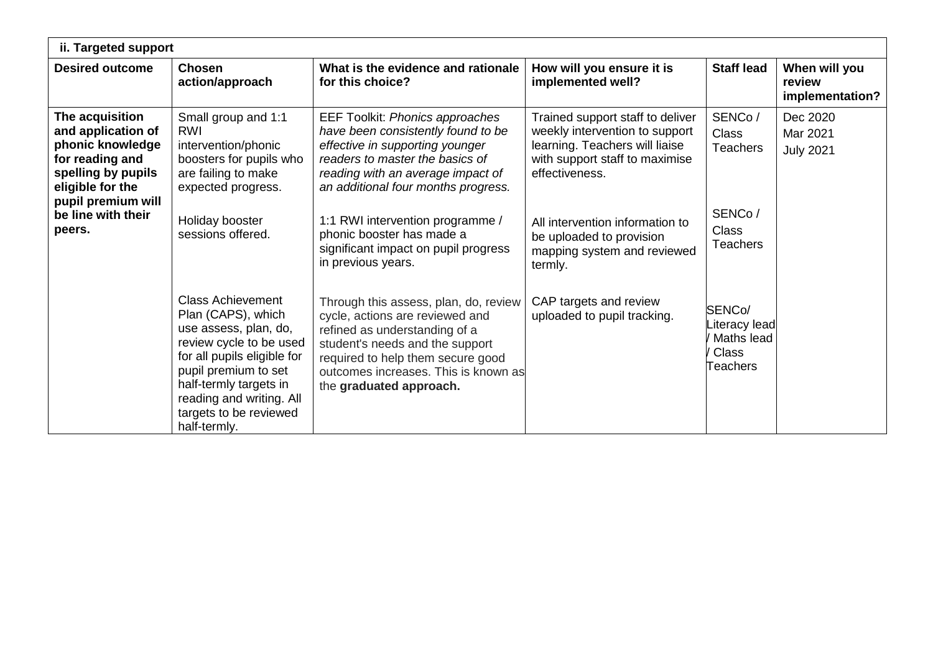| ii. Targeted support                                                                                                   |                                                                                                                                                                                                                                                           |                                                                                                                                                                                                                                                      |                                                                                                                                                          |                                                                  |                                            |
|------------------------------------------------------------------------------------------------------------------------|-----------------------------------------------------------------------------------------------------------------------------------------------------------------------------------------------------------------------------------------------------------|------------------------------------------------------------------------------------------------------------------------------------------------------------------------------------------------------------------------------------------------------|----------------------------------------------------------------------------------------------------------------------------------------------------------|------------------------------------------------------------------|--------------------------------------------|
| <b>Desired outcome</b>                                                                                                 | <b>Chosen</b><br>action/approach                                                                                                                                                                                                                          | What is the evidence and rationale<br>for this choice?                                                                                                                                                                                               | How will you ensure it is<br>implemented well?                                                                                                           | <b>Staff lead</b>                                                | When will you<br>review<br>implementation? |
| The acquisition<br>and application of<br>phonic knowledge<br>for reading and<br>spelling by pupils<br>eligible for the | Small group and 1:1<br>RWI<br>intervention/phonic<br>boosters for pupils who<br>are failing to make<br>expected progress.                                                                                                                                 | <b>EEF Toolkit: Phonics approaches</b><br>have been consistently found to be<br>effective in supporting younger<br>readers to master the basics of<br>reading with an average impact of<br>an additional four months progress.                       | Trained support staff to deliver<br>weekly intervention to support<br>learning. Teachers will liaise<br>with support staff to maximise<br>effectiveness. | SENCo/<br><b>Class</b><br><b>Teachers</b>                        | Dec 2020<br>Mar 2021<br><b>July 2021</b>   |
| pupil premium will<br>be line with their<br>peers.                                                                     | Holiday booster<br>sessions offered.                                                                                                                                                                                                                      | 1:1 RWI intervention programme /<br>phonic booster has made a<br>significant impact on pupil progress<br>in previous years.                                                                                                                          | All intervention information to<br>be uploaded to provision<br>mapping system and reviewed<br>termly.                                                    | SENCo/<br><b>Class</b><br><b>Teachers</b>                        |                                            |
|                                                                                                                        | <b>Class Achievement</b><br>Plan (CAPS), which<br>use assess, plan, do,<br>review cycle to be used<br>for all pupils eligible for<br>pupil premium to set<br>half-termly targets in<br>reading and writing. All<br>targets to be reviewed<br>half-termly. | Through this assess, plan, do, review<br>cycle, actions are reviewed and<br>refined as understanding of a<br>student's needs and the support<br>required to help them secure good<br>outcomes increases. This is known as<br>the graduated approach. | CAP targets and review<br>uploaded to pupil tracking.                                                                                                    | SENCo/<br>iteracy lead<br>Maths lead<br><b>Class</b><br>Teachers |                                            |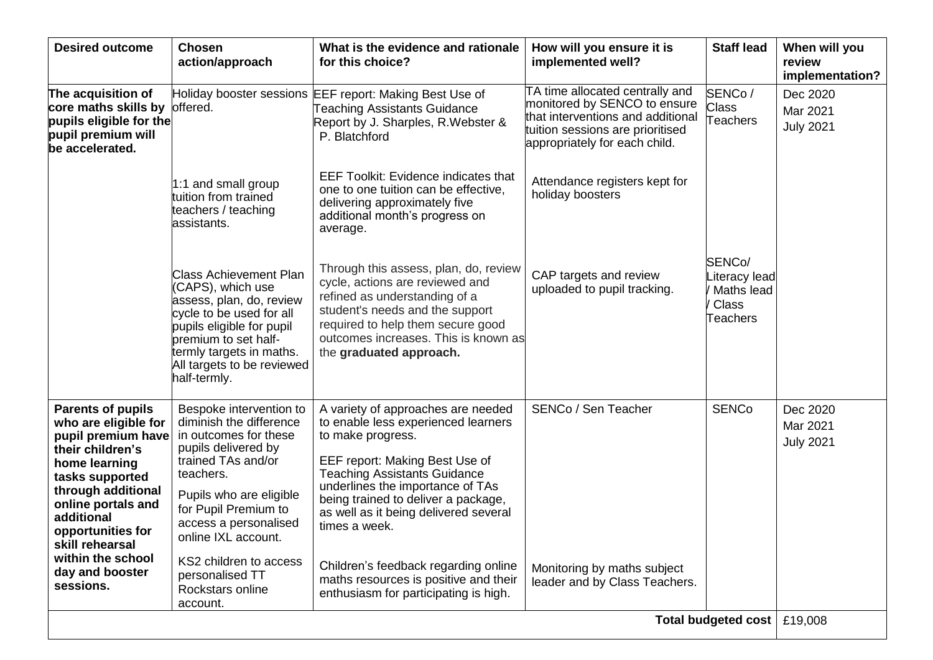| <b>Desired outcome</b>                                                                                                                                                                                                                                                                | <b>Chosen</b><br>action/approach                                                                                                                                                                                                                                                      | What is the evidence and rationale<br>for this choice?                                                                                                                                                                                                                                                                                                                                        | How will you ensure it is<br>implemented well?                                                                                                                            | <b>Staff lead</b>                                                | When will you<br>review<br>implementation? |
|---------------------------------------------------------------------------------------------------------------------------------------------------------------------------------------------------------------------------------------------------------------------------------------|---------------------------------------------------------------------------------------------------------------------------------------------------------------------------------------------------------------------------------------------------------------------------------------|-----------------------------------------------------------------------------------------------------------------------------------------------------------------------------------------------------------------------------------------------------------------------------------------------------------------------------------------------------------------------------------------------|---------------------------------------------------------------------------------------------------------------------------------------------------------------------------|------------------------------------------------------------------|--------------------------------------------|
| The acquisition of<br>core maths skills by<br>pupils eligible for the<br>pupil premium will<br>be accelerated.                                                                                                                                                                        | offered.                                                                                                                                                                                                                                                                              | Holiday booster sessions EEF report: Making Best Use of<br><b>Teaching Assistants Guidance</b><br>Report by J. Sharples, R. Webster &<br>P. Blatchford                                                                                                                                                                                                                                        | TA time allocated centrally and<br>monitored by SENCO to ensure<br>that interventions and additional<br>tuition sessions are prioritised<br>appropriately for each child. | SENCo/<br><b>Class</b><br>Teachers                               | Dec 2020<br>Mar 2021<br><b>July 2021</b>   |
|                                                                                                                                                                                                                                                                                       | 1:1 and small group<br>tuition from trained<br>teachers / teaching<br>assistants.                                                                                                                                                                                                     | <b>EEF Toolkit: Evidence indicates that</b><br>one to one tuition can be effective,<br>delivering approximately five<br>additional month's progress on<br>average.                                                                                                                                                                                                                            | Attendance registers kept for<br>holiday boosters                                                                                                                         |                                                                  |                                            |
|                                                                                                                                                                                                                                                                                       | Class Achievement Plan<br>CAPS), which use<br>assess, plan, do, review<br>cycle to be used for all<br>pupils eligible for pupil<br>premium to set half-<br>termly targets in maths.<br>All targets to be reviewed<br>half-termly.                                                     | Through this assess, plan, do, review<br>cycle, actions are reviewed and<br>refined as understanding of a<br>student's needs and the support<br>required to help them secure good<br>outcomes increases. This is known as<br>the graduated approach.                                                                                                                                          | CAP targets and review<br>uploaded to pupil tracking.                                                                                                                     | SENCo/<br>iteracy lead<br>Maths lead<br><b>Class</b><br>Teachers |                                            |
| <b>Parents of pupils</b><br>who are eligible for<br>pupil premium have<br>their children's<br>home learning<br>tasks supported<br>through additional<br>online portals and<br>additional<br>opportunities for<br>skill rehearsal<br>within the school<br>day and booster<br>sessions. | Bespoke intervention to<br>diminish the difference<br>in outcomes for these<br>pupils delivered by<br>trained TAs and/or<br>teachers.<br>Pupils who are eligible<br>for Pupil Premium to<br>access a personalised<br>online IXL account.<br>KS2 children to access<br>personalised TT | A variety of approaches are needed<br>to enable less experienced learners<br>to make progress.<br>EEF report: Making Best Use of<br><b>Teaching Assistants Guidance</b><br>underlines the importance of TAs<br>being trained to deliver a package,<br>as well as it being delivered several<br>times a week.<br>Children's feedback regarding online<br>maths resources is positive and their | SENCo / Sen Teacher<br>Monitoring by maths subject<br>leader and by Class Teachers.                                                                                       | <b>SENCo</b>                                                     | Dec 2020<br>Mar 2021<br><b>July 2021</b>   |
|                                                                                                                                                                                                                                                                                       | Rockstars online<br>account.                                                                                                                                                                                                                                                          | enthusiasm for participating is high.                                                                                                                                                                                                                                                                                                                                                         |                                                                                                                                                                           | Total budgeted cost   £19,008                                    |                                            |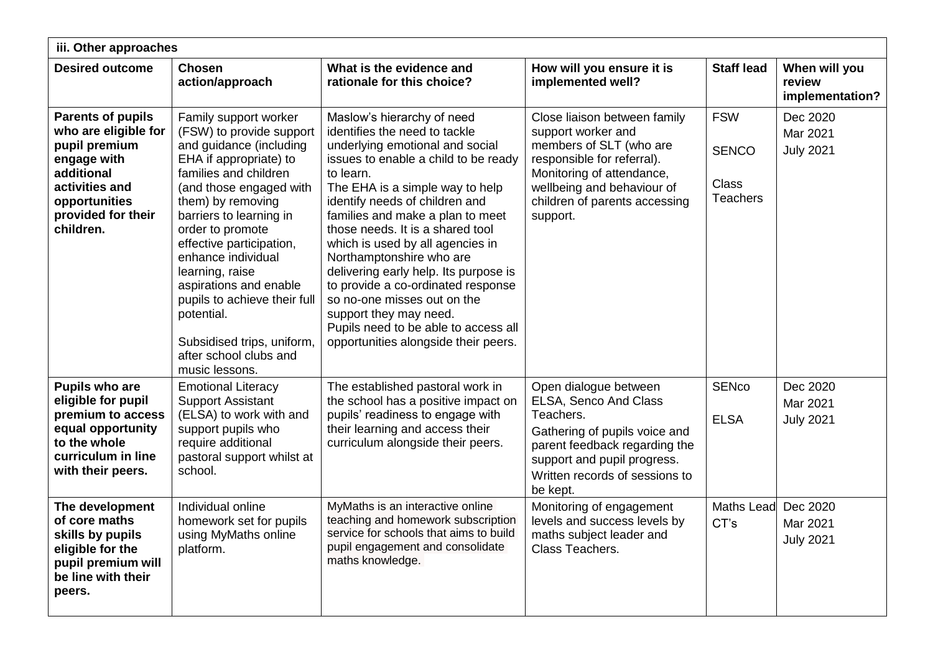| iii. Other approaches                                                                                                                                                |                                                                                                                                                                                                                                                                                                                                                                                                                                                       |                                                                                                                                                                                                                                                                                                                                                                                                                                                                                                                                                                                          |                                                                                                                                                                                                                     |                                                               |                                            |  |
|----------------------------------------------------------------------------------------------------------------------------------------------------------------------|-------------------------------------------------------------------------------------------------------------------------------------------------------------------------------------------------------------------------------------------------------------------------------------------------------------------------------------------------------------------------------------------------------------------------------------------------------|------------------------------------------------------------------------------------------------------------------------------------------------------------------------------------------------------------------------------------------------------------------------------------------------------------------------------------------------------------------------------------------------------------------------------------------------------------------------------------------------------------------------------------------------------------------------------------------|---------------------------------------------------------------------------------------------------------------------------------------------------------------------------------------------------------------------|---------------------------------------------------------------|--------------------------------------------|--|
| <b>Desired outcome</b>                                                                                                                                               | <b>Chosen</b><br>action/approach                                                                                                                                                                                                                                                                                                                                                                                                                      | What is the evidence and<br>rationale for this choice?                                                                                                                                                                                                                                                                                                                                                                                                                                                                                                                                   | How will you ensure it is<br>implemented well?                                                                                                                                                                      | <b>Staff lead</b>                                             | When will you<br>review<br>implementation? |  |
| <b>Parents of pupils</b><br>who are eligible for<br>pupil premium<br>engage with<br>additional<br>activities and<br>opportunities<br>provided for their<br>children. | Family support worker<br>(FSW) to provide support<br>and guidance (including<br>EHA if appropriate) to<br>families and children<br>(and those engaged with<br>them) by removing<br>barriers to learning in<br>order to promote<br>effective participation,<br>enhance individual<br>learning, raise<br>aspirations and enable<br>pupils to achieve their full<br>potential.<br>Subsidised trips, uniform,<br>after school clubs and<br>music lessons. | Maslow's hierarchy of need<br>identifies the need to tackle<br>underlying emotional and social<br>issues to enable a child to be ready<br>to learn.<br>The EHA is a simple way to help<br>identify needs of children and<br>families and make a plan to meet<br>those needs. It is a shared tool<br>which is used by all agencies in<br>Northamptonshire who are<br>delivering early help. Its purpose is<br>to provide a co-ordinated response<br>so no-one misses out on the<br>support they may need.<br>Pupils need to be able to access all<br>opportunities alongside their peers. | Close liaison between family<br>support worker and<br>members of SLT (who are<br>responsible for referral).<br>Monitoring of attendance,<br>wellbeing and behaviour of<br>children of parents accessing<br>support. | <b>FSW</b><br><b>SENCO</b><br><b>Class</b><br><b>Teachers</b> | Dec 2020<br>Mar 2021<br><b>July 2021</b>   |  |
| <b>Pupils who are</b><br>eligible for pupil<br>premium to access<br>equal opportunity<br>to the whole<br>curriculum in line<br>with their peers.                     | <b>Emotional Literacy</b><br><b>Support Assistant</b><br>(ELSA) to work with and<br>support pupils who<br>require additional<br>pastoral support whilst at<br>school.                                                                                                                                                                                                                                                                                 | The established pastoral work in<br>the school has a positive impact on<br>pupils' readiness to engage with<br>their learning and access their<br>curriculum alongside their peers.                                                                                                                                                                                                                                                                                                                                                                                                      | Open dialogue between<br>ELSA, Senco And Class<br>Teachers.<br>Gathering of pupils voice and<br>parent feedback regarding the<br>support and pupil progress.<br>Written records of sessions to<br>be kept.          | <b>SENco</b><br><b>ELSA</b>                                   | Dec 2020<br>Mar 2021<br><b>July 2021</b>   |  |
| The development<br>of core maths<br>skills by pupils<br>eligible for the<br>pupil premium will<br>be line with their<br>peers.                                       | Individual online<br>homework set for pupils<br>using MyMaths online<br>platform.                                                                                                                                                                                                                                                                                                                                                                     | MyMaths is an interactive online<br>teaching and homework subscription<br>service for schools that aims to build<br>pupil engagement and consolidate<br>maths knowledge.                                                                                                                                                                                                                                                                                                                                                                                                                 | Monitoring of engagement<br>levels and success levels by<br>maths subject leader and<br>Class Teachers.                                                                                                             | <b>Maths Lead</b><br>CT's                                     | Dec 2020<br>Mar 2021<br><b>July 2021</b>   |  |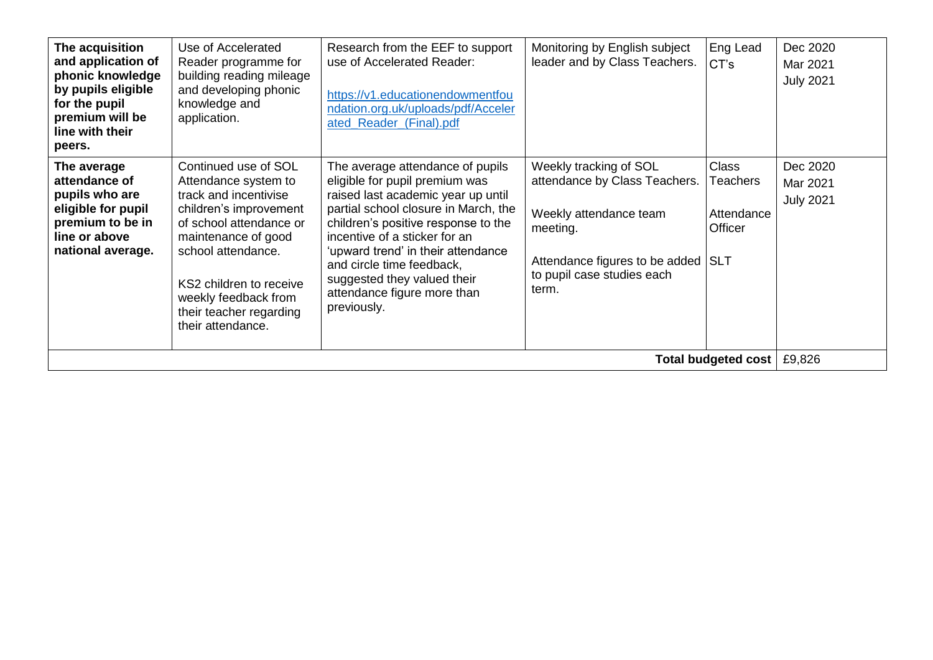| The acquisition<br>and application of<br>phonic knowledge<br>by pupils eligible<br>for the pupil<br>premium will be<br>line with their<br>peers. | Use of Accelerated<br>Reader programme for<br>building reading mileage<br>and developing phonic<br>knowledge and<br>application.                                                                                                                                           | Research from the EEF to support<br>use of Accelerated Reader:<br>https://v1.educationendowmentfou<br>ndation.org.uk/uploads/pdf/Acceler<br>ated_Reader_(Final).pdf                                                                                                                                                                                                      | Monitoring by English subject<br>leader and by Class Teachers.                                                                                                             | Eng Lead<br>CT's                                         | Dec 2020<br>Mar 2021<br><b>July 2021</b> |
|--------------------------------------------------------------------------------------------------------------------------------------------------|----------------------------------------------------------------------------------------------------------------------------------------------------------------------------------------------------------------------------------------------------------------------------|--------------------------------------------------------------------------------------------------------------------------------------------------------------------------------------------------------------------------------------------------------------------------------------------------------------------------------------------------------------------------|----------------------------------------------------------------------------------------------------------------------------------------------------------------------------|----------------------------------------------------------|------------------------------------------|
| The average<br>attendance of<br>pupils who are<br>eligible for pupil<br>premium to be in<br>line or above<br>national average.                   | Continued use of SOL<br>Attendance system to<br>track and incentivise<br>children's improvement<br>of school attendance or<br>maintenance of good<br>school attendance.<br>KS2 children to receive<br>weekly feedback from<br>their teacher regarding<br>their attendance. | The average attendance of pupils<br>eligible for pupil premium was<br>raised last academic year up until<br>partial school closure in March, the<br>children's positive response to the<br>incentive of a sticker for an<br>'upward trend' in their attendance<br>and circle time feedback,<br>suggested they valued their<br>attendance figure more than<br>previously. | Weekly tracking of SOL<br>attendance by Class Teachers.<br>Weekly attendance team<br>meeting.<br>Attendance figures to be added SLT<br>to pupil case studies each<br>term. | <b>Class</b><br><b>Teachers</b><br>Attendance<br>Officer | Dec 2020<br>Mar 2021<br><b>July 2021</b> |
| Total budgeted cost                                                                                                                              |                                                                                                                                                                                                                                                                            |                                                                                                                                                                                                                                                                                                                                                                          |                                                                                                                                                                            |                                                          |                                          |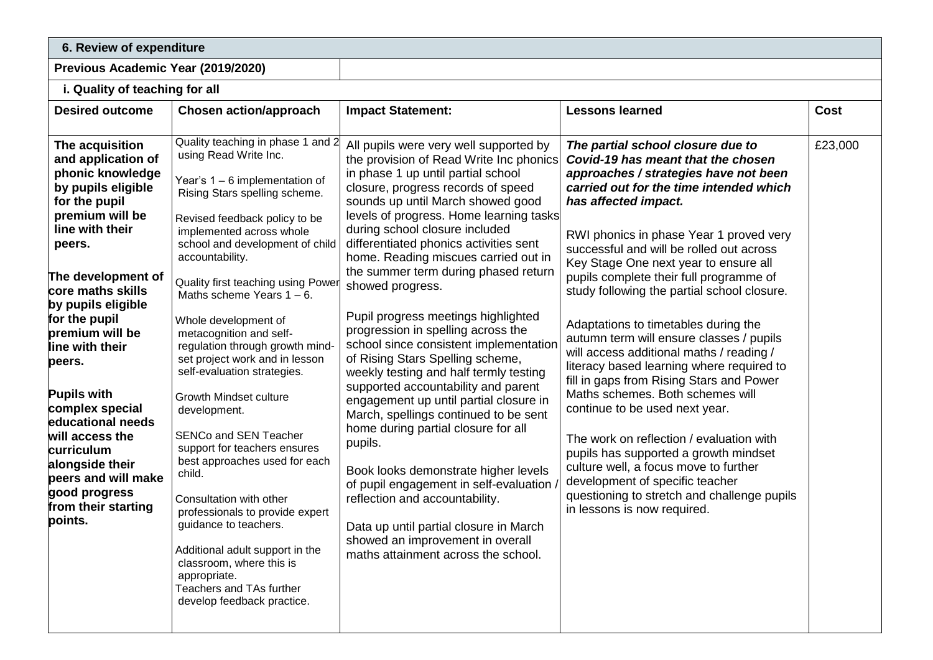## **6. Review of expenditure**

# **Previous Academic Year (2019/2020)**

### **i. Quality of teaching for all**

| <b>Desired outcome</b>                                                                                                                                                                                                                                                                                                                                                                                                                                                         | <b>Chosen action/approach</b>                                                                                                                                                                                                                                                                                                                                                                                                                                                                                                                                                                                                                                                                                                                                                                                                                                               | <b>Impact Statement:</b>                                                                                                                                                                                                                                                                                                                                                                                                                                                                                                                                                                                                                                                                                                                                                                                                                                                                                                                                                                                                                                 | <b>Lessons learned</b>                                                                                                                                                                                                                                                                                                                                                                                                                                                                                                                                                                                                                                                                                                                                                                                                                                                                                                                                      | <b>Cost</b> |
|--------------------------------------------------------------------------------------------------------------------------------------------------------------------------------------------------------------------------------------------------------------------------------------------------------------------------------------------------------------------------------------------------------------------------------------------------------------------------------|-----------------------------------------------------------------------------------------------------------------------------------------------------------------------------------------------------------------------------------------------------------------------------------------------------------------------------------------------------------------------------------------------------------------------------------------------------------------------------------------------------------------------------------------------------------------------------------------------------------------------------------------------------------------------------------------------------------------------------------------------------------------------------------------------------------------------------------------------------------------------------|----------------------------------------------------------------------------------------------------------------------------------------------------------------------------------------------------------------------------------------------------------------------------------------------------------------------------------------------------------------------------------------------------------------------------------------------------------------------------------------------------------------------------------------------------------------------------------------------------------------------------------------------------------------------------------------------------------------------------------------------------------------------------------------------------------------------------------------------------------------------------------------------------------------------------------------------------------------------------------------------------------------------------------------------------------|-------------------------------------------------------------------------------------------------------------------------------------------------------------------------------------------------------------------------------------------------------------------------------------------------------------------------------------------------------------------------------------------------------------------------------------------------------------------------------------------------------------------------------------------------------------------------------------------------------------------------------------------------------------------------------------------------------------------------------------------------------------------------------------------------------------------------------------------------------------------------------------------------------------------------------------------------------------|-------------|
| The acquisition<br>and application of<br>phonic knowledge<br>by pupils eligible<br>for the pupil<br>premium will be<br>line with their<br>peers.<br>The development of<br>core maths skills<br>by pupils eligible<br>for the pupil<br>premium will be<br>line with their<br>peers.<br><b>Pupils with</b><br>complex special<br>educational needs<br>will access the<br>curriculum<br>alongside their<br>peers and will make<br>good progress<br>from their starting<br>points. | Quality teaching in phase 1 and 2<br>using Read Write Inc.<br>Year's $1 - 6$ implementation of<br>Rising Stars spelling scheme.<br>Revised feedback policy to be<br>implemented across whole<br>school and development of child<br>accountability.<br>Quality first teaching using Power<br>Maths scheme Years $1 - 6$ .<br>Whole development of<br>metacognition and self-<br>regulation through growth mind-<br>set project work and in lesson<br>self-evaluation strategies.<br><b>Growth Mindset culture</b><br>development.<br><b>SENCo and SEN Teacher</b><br>support for teachers ensures<br>best approaches used for each<br>child.<br>Consultation with other<br>professionals to provide expert<br>guidance to teachers.<br>Additional adult support in the<br>classroom, where this is<br>appropriate.<br>Teachers and TAs further<br>develop feedback practice. | All pupils were very well supported by<br>the provision of Read Write Inc phonics<br>in phase 1 up until partial school<br>closure, progress records of speed<br>sounds up until March showed good<br>levels of progress. Home learning tasks<br>during school closure included<br>differentiated phonics activities sent<br>home. Reading miscues carried out in<br>the summer term during phased return<br>showed progress.<br>Pupil progress meetings highlighted<br>progression in spelling across the<br>school since consistent implementation<br>of Rising Stars Spelling scheme,<br>weekly testing and half termly testing<br>supported accountability and parent<br>engagement up until partial closure in<br>March, spellings continued to be sent<br>home during partial closure for all<br>pupils.<br>Book looks demonstrate higher levels<br>of pupil engagement in self-evaluation,<br>reflection and accountability.<br>Data up until partial closure in March<br>showed an improvement in overall<br>maths attainment across the school. | The partial school closure due to<br>Covid-19 has meant that the chosen<br>approaches / strategies have not been<br>carried out for the time intended which<br>has affected impact.<br>RWI phonics in phase Year 1 proved very<br>successful and will be rolled out across<br>Key Stage One next year to ensure all<br>pupils complete their full programme of<br>study following the partial school closure.<br>Adaptations to timetables during the<br>autumn term will ensure classes / pupils<br>will access additional maths / reading /<br>literacy based learning where required to<br>fill in gaps from Rising Stars and Power<br>Maths schemes. Both schemes will<br>continue to be used next year.<br>The work on reflection / evaluation with<br>pupils has supported a growth mindset<br>culture well, a focus move to further<br>development of specific teacher<br>questioning to stretch and challenge pupils<br>in lessons is now required. | £23,000     |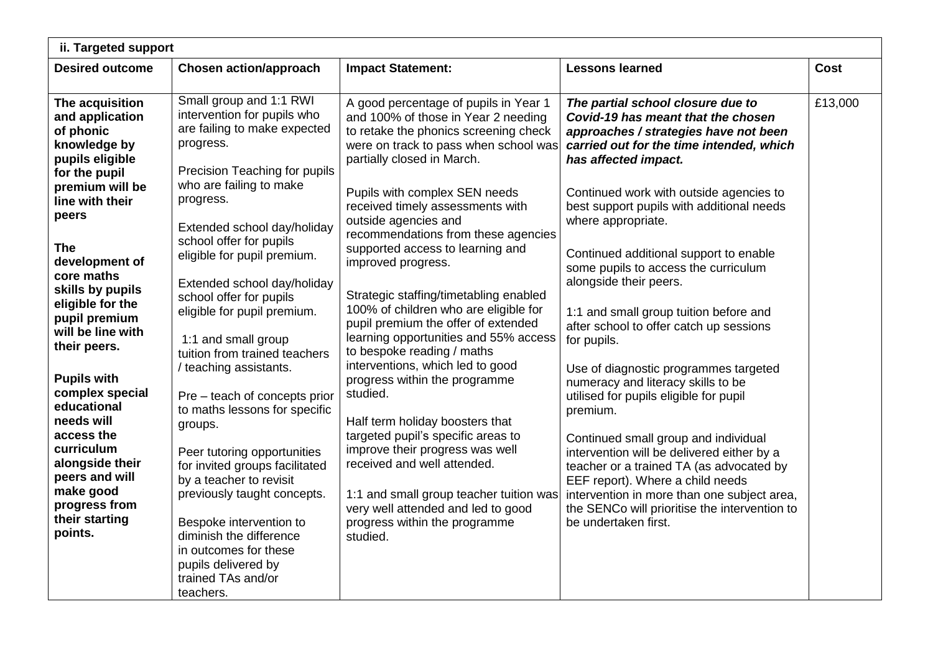| ii. Targeted support                                                                                                                                                                                                                                                                                                                                                                                                                                                                             |                                                                                                                                                                                                                                                                                                                                                                                                                                                                                                                                                                                                                                                                                                                                                                                                   |                                                                                                                                                                                                                                                                                                                                                                                                                                                                                                                                                                                                                                                                                                                                                                                                                                                                                                                                                       |                                                                                                                                                                                                                                                                                                                                                                                                                                                                                                                                                                                                                                                                                                                                                                                                                                                                                                                                                       |             |
|--------------------------------------------------------------------------------------------------------------------------------------------------------------------------------------------------------------------------------------------------------------------------------------------------------------------------------------------------------------------------------------------------------------------------------------------------------------------------------------------------|---------------------------------------------------------------------------------------------------------------------------------------------------------------------------------------------------------------------------------------------------------------------------------------------------------------------------------------------------------------------------------------------------------------------------------------------------------------------------------------------------------------------------------------------------------------------------------------------------------------------------------------------------------------------------------------------------------------------------------------------------------------------------------------------------|-------------------------------------------------------------------------------------------------------------------------------------------------------------------------------------------------------------------------------------------------------------------------------------------------------------------------------------------------------------------------------------------------------------------------------------------------------------------------------------------------------------------------------------------------------------------------------------------------------------------------------------------------------------------------------------------------------------------------------------------------------------------------------------------------------------------------------------------------------------------------------------------------------------------------------------------------------|-------------------------------------------------------------------------------------------------------------------------------------------------------------------------------------------------------------------------------------------------------------------------------------------------------------------------------------------------------------------------------------------------------------------------------------------------------------------------------------------------------------------------------------------------------------------------------------------------------------------------------------------------------------------------------------------------------------------------------------------------------------------------------------------------------------------------------------------------------------------------------------------------------------------------------------------------------|-------------|
| <b>Desired outcome</b>                                                                                                                                                                                                                                                                                                                                                                                                                                                                           | <b>Chosen action/approach</b>                                                                                                                                                                                                                                                                                                                                                                                                                                                                                                                                                                                                                                                                                                                                                                     | <b>Impact Statement:</b>                                                                                                                                                                                                                                                                                                                                                                                                                                                                                                                                                                                                                                                                                                                                                                                                                                                                                                                              | <b>Lessons learned</b>                                                                                                                                                                                                                                                                                                                                                                                                                                                                                                                                                                                                                                                                                                                                                                                                                                                                                                                                | <b>Cost</b> |
| The acquisition<br>and application<br>of phonic<br>knowledge by<br>pupils eligible<br>for the pupil<br>premium will be<br>line with their<br>peers<br><b>The</b><br>development of<br>core maths<br>skills by pupils<br>eligible for the<br>pupil premium<br>will be line with<br>their peers.<br><b>Pupils with</b><br>complex special<br>educational<br>needs will<br>access the<br>curriculum<br>alongside their<br>peers and will<br>make good<br>progress from<br>their starting<br>points. | Small group and 1:1 RWI<br>intervention for pupils who<br>are failing to make expected<br>progress.<br>Precision Teaching for pupils<br>who are failing to make<br>progress.<br>Extended school day/holiday<br>school offer for pupils<br>eligible for pupil premium.<br>Extended school day/holiday<br>school offer for pupils<br>eligible for pupil premium.<br>1:1 and small group<br>tuition from trained teachers<br>/ teaching assistants.<br>Pre - teach of concepts prior<br>to maths lessons for specific<br>groups.<br>Peer tutoring opportunities<br>for invited groups facilitated<br>by a teacher to revisit<br>previously taught concepts.<br>Bespoke intervention to<br>diminish the difference<br>in outcomes for these<br>pupils delivered by<br>trained TAs and/or<br>teachers. | A good percentage of pupils in Year 1<br>and 100% of those in Year 2 needing<br>to retake the phonics screening check<br>were on track to pass when school was<br>partially closed in March.<br>Pupils with complex SEN needs<br>received timely assessments with<br>outside agencies and<br>recommendations from these agencies<br>supported access to learning and<br>improved progress.<br>Strategic staffing/timetabling enabled<br>100% of children who are eligible for<br>pupil premium the offer of extended<br>learning opportunities and 55% access<br>to bespoke reading / maths<br>interventions, which led to good<br>progress within the programme<br>studied.<br>Half term holiday boosters that<br>targeted pupil's specific areas to<br>improve their progress was well<br>received and well attended.<br>1:1 and small group teacher tuition was<br>very well attended and led to good<br>progress within the programme<br>studied. | The partial school closure due to<br>Covid-19 has meant that the chosen<br>approaches / strategies have not been<br>carried out for the time intended, which<br>has affected impact.<br>Continued work with outside agencies to<br>best support pupils with additional needs<br>where appropriate.<br>Continued additional support to enable<br>some pupils to access the curriculum<br>alongside their peers.<br>1:1 and small group tuition before and<br>after school to offer catch up sessions<br>for pupils.<br>Use of diagnostic programmes targeted<br>numeracy and literacy skills to be<br>utilised for pupils eligible for pupil<br>premium.<br>Continued small group and individual<br>intervention will be delivered either by a<br>teacher or a trained TA (as advocated by<br>EEF report). Where a child needs<br>intervention in more than one subject area,<br>the SENCo will prioritise the intervention to<br>be undertaken first. | £13,000     |